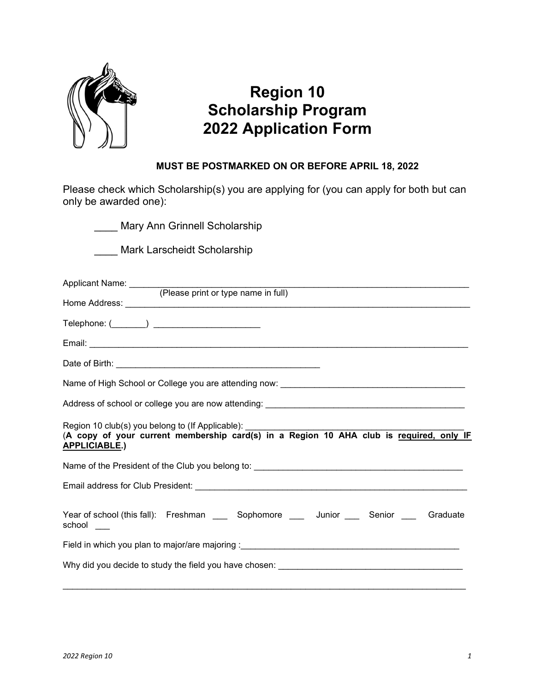

## Region 10 Scholarship Program 2022 Application Form

## MUST BE POSTMARKED ON OR BEFORE APRIL 18, 2022

Please check which Scholarship(s) you are applying for (you can apply for both but can only be awarded one):

**Mary Ann Grinnell Scholarship** 

\_\_\_\_ Mark Larscheidt Scholarship

| Applicant Name: (Please print or type name in full)                                                                                                                 |
|---------------------------------------------------------------------------------------------------------------------------------------------------------------------|
|                                                                                                                                                                     |
| Telephone: (_______) _________________________                                                                                                                      |
|                                                                                                                                                                     |
|                                                                                                                                                                     |
|                                                                                                                                                                     |
|                                                                                                                                                                     |
| Region 10 club(s) you belong to (If Applicable):<br>(A copy of your current membership card(s) in a Region 10 AHA club is required, only IF<br><b>APPLICIABLE.)</b> |
|                                                                                                                                                                     |
|                                                                                                                                                                     |
| Year of school (this fall): Freshman _____ Sophomore ____ Junior ____ Senior ____ Graduate<br>school ___                                                            |
|                                                                                                                                                                     |
|                                                                                                                                                                     |
|                                                                                                                                                                     |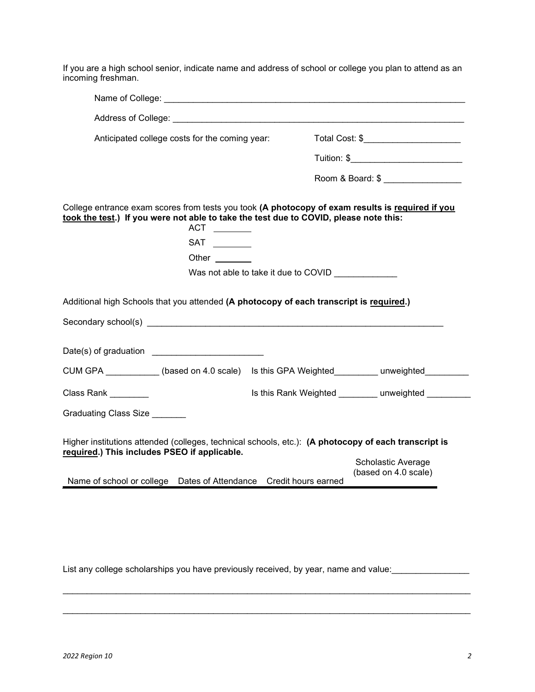If you are a high school senior, indicate name and address of school or college you plan to attend as an incoming freshman.

| Anticipated college costs for the coming year:                                                                                                                                                   |                                      |  | Total Cost: \$________________________            |  |
|--------------------------------------------------------------------------------------------------------------------------------------------------------------------------------------------------|--------------------------------------|--|---------------------------------------------------|--|
|                                                                                                                                                                                                  |                                      |  |                                                   |  |
|                                                                                                                                                                                                  |                                      |  | Room & Board: \$                                  |  |
| College entrance exam scores from tests you took (A photocopy of exam results is required if you<br>took the test.) If you were not able to take the test due to COVID, please note this:        | $ACT \_$                             |  |                                                   |  |
|                                                                                                                                                                                                  | $SAT \_$                             |  |                                                   |  |
|                                                                                                                                                                                                  | Other $\sqrt{2\pi}$                  |  |                                                   |  |
|                                                                                                                                                                                                  | Was not able to take it due to COVID |  |                                                   |  |
|                                                                                                                                                                                                  |                                      |  |                                                   |  |
|                                                                                                                                                                                                  |                                      |  |                                                   |  |
| Additional high Schools that you attended (A photocopy of each transcript is required.)<br>CUM GPA ___________(based on 4.0 scale) ls this GPA Weighted_________ unweighted_______<br>Class Rank |                                      |  | Is this Rank Weighted ________ unweighted _______ |  |
|                                                                                                                                                                                                  |                                      |  |                                                   |  |
|                                                                                                                                                                                                  |                                      |  |                                                   |  |
| Graduating Class Size<br>Higher institutions attended (colleges, technical schools, etc.): (A photocopy of each transcript is<br>required.) This includes PSEO if applicable.                    |                                      |  | Scholastic Average<br>(based on 4.0 scale)        |  |

List any college scholarships you have previously received, by year, name and value:\_\_\_\_\_\_\_\_\_\_\_\_\_\_\_\_

 $\mathcal{L}_\mathcal{L} = \{ \mathcal{L}_\mathcal{L} = \{ \mathcal{L}_\mathcal{L} = \{ \mathcal{L}_\mathcal{L} = \{ \mathcal{L}_\mathcal{L} = \{ \mathcal{L}_\mathcal{L} = \{ \mathcal{L}_\mathcal{L} = \{ \mathcal{L}_\mathcal{L} = \{ \mathcal{L}_\mathcal{L} = \{ \mathcal{L}_\mathcal{L} = \{ \mathcal{L}_\mathcal{L} = \{ \mathcal{L}_\mathcal{L} = \{ \mathcal{L}_\mathcal{L} = \{ \mathcal{L}_\mathcal{L} = \{ \mathcal{L}_\mathcal{$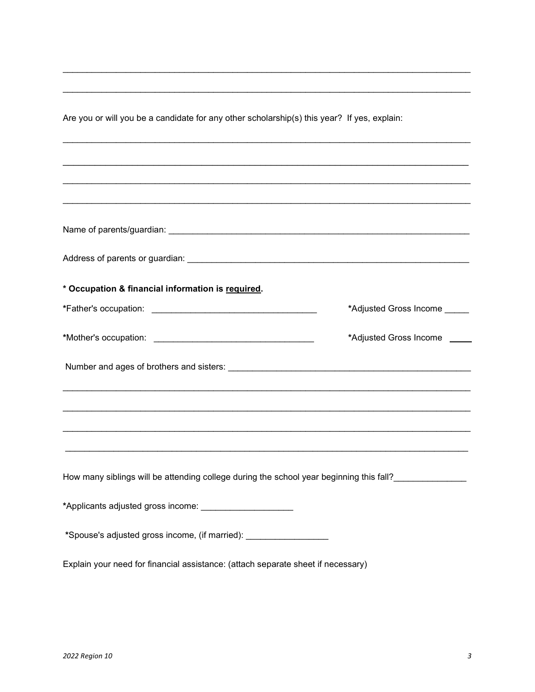Are you or will you be a candidate for any other scholarship(s) this year? If yes, explain:

<u> 1980 - Johann Stoff, deutscher Stoffen und der Stoffen und der Stoffen und der Stoffen und der Stoffen und de</u>

| * Occupation & financial information is required.                                |                                                                                         |
|----------------------------------------------------------------------------------|-----------------------------------------------------------------------------------------|
|                                                                                  | *Adjusted Gross Income                                                                  |
|                                                                                  | *Adjusted Gross Income                                                                  |
|                                                                                  |                                                                                         |
|                                                                                  |                                                                                         |
|                                                                                  | ,我们也不能在这里的时候,我们也不能在这里的时候,我们也不能在这里的时候,我们也不能会不能会不能会不能会不能会不能会不能会。""我们的人,我们也不能会不能会不能        |
|                                                                                  | ,我们也不能在这里的人,我们也不能在这里的人,我们也不能不能不能不能不能不能不能不能不能不能不能。""我们的人,我们也不能不能不能不能不能不能不能不能不能不能不        |
|                                                                                  | How many siblings will be attending college during the school year beginning this fall? |
| *Applicants adjusted gross income: _______________________                       |                                                                                         |
| *Spouse's adjusted gross income, (if married): ____________________              |                                                                                         |
| Explain your need for financial assistance: (attach separate sheet if necessary) |                                                                                         |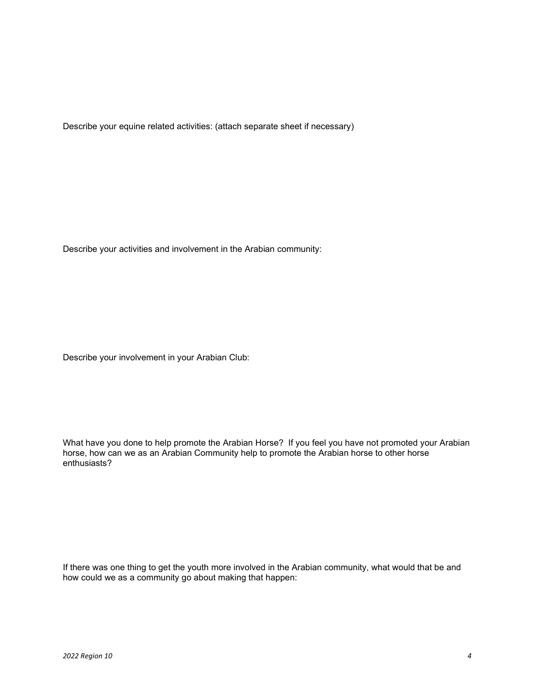Describe your equine related activities: (attach separate sheet if necessary)

Describe your activities and involvement in the Arabian community:

Describe your involvement in your Arabian Club:

What have you done to help promote the Arabian Horse? If you feel you have not promoted your Arabian horse, how can we as an Arabian Community help to promote the Arabian horse to other horse enthusiasts?

If there was one thing to get the youth more involved in the Arabian community, what would that be and how could we as a community go about making that happen: